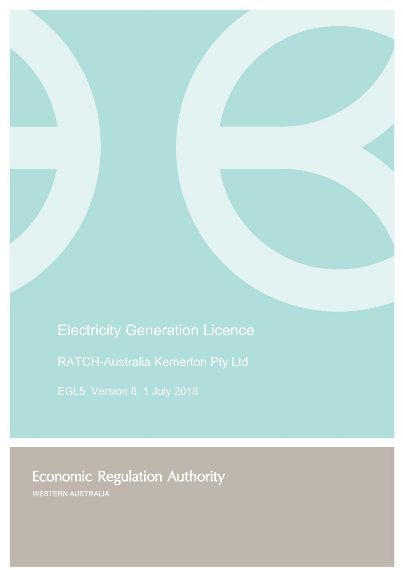Electricity Generation Licence

RATCH-Australia Kemerton Pty Ltd

**Economic Regulation Authority** 

WESTERN AUSTRALIA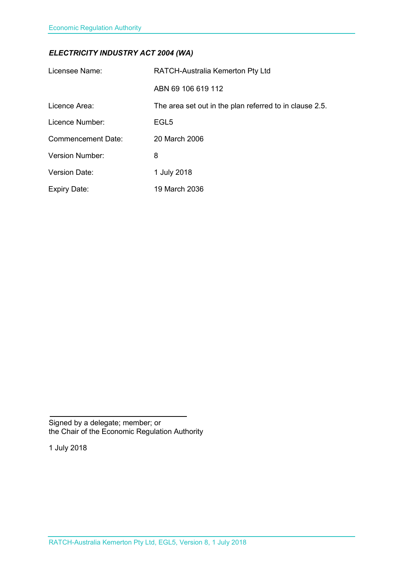### *ELECTRICITY INDUSTRY ACT 2004 (WA)*

| Licensee Name:            | <b>RATCH-Australia Kemerton Pty Ltd</b>                 |
|---------------------------|---------------------------------------------------------|
|                           | ABN 69 106 619 112                                      |
| Licence Area:             | The area set out in the plan referred to in clause 2.5. |
| Licence Number:           | EGL <sub>5</sub>                                        |
| <b>Commencement Date:</b> | 20 March 2006                                           |
| <b>Version Number:</b>    | 8                                                       |
| <b>Version Date:</b>      | 1 July 2018                                             |
| <b>Expiry Date:</b>       | 19 March 2036                                           |

Signed by a delegate; member; or the Chair of the Economic Regulation Authority

1 July 2018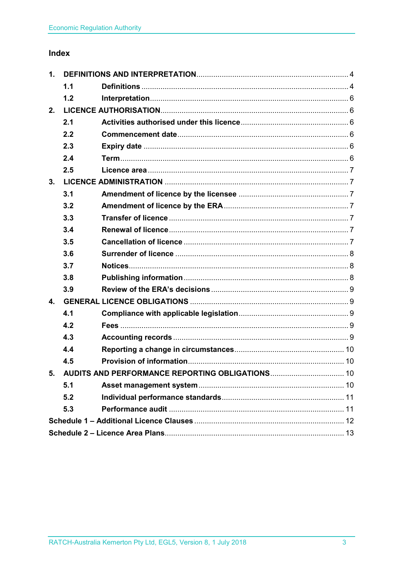## Index

| 1. |     |  |  |
|----|-----|--|--|
|    | 1.1 |  |  |
|    | 1.2 |  |  |
| 2. |     |  |  |
|    | 2.1 |  |  |
|    | 2.2 |  |  |
|    | 2.3 |  |  |
|    | 2.4 |  |  |
|    | 2.5 |  |  |
| 3. |     |  |  |
|    | 3.1 |  |  |
|    | 3.2 |  |  |
|    | 3.3 |  |  |
|    | 3.4 |  |  |
|    | 3.5 |  |  |
|    | 3.6 |  |  |
|    | 3.7 |  |  |
|    | 3.8 |  |  |
|    | 3.9 |  |  |
| 4. |     |  |  |
|    | 4.1 |  |  |
|    | 4.2 |  |  |
|    | 4.3 |  |  |
|    | 4.4 |  |  |
|    | 4.5 |  |  |
| 5. |     |  |  |
|    | 5.1 |  |  |
|    | 5.2 |  |  |
|    | 5.3 |  |  |
|    |     |  |  |
|    |     |  |  |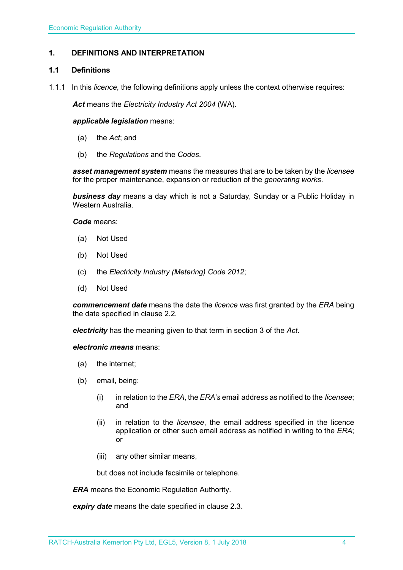### <span id="page-3-0"></span>**1. DEFINITIONS AND INTERPRETATION**

#### <span id="page-3-1"></span>**1.1 Definitions**

1.1.1 In this *licence*, the following definitions apply unless the context otherwise requires:

*Act* means the *Electricity Industry Act 2004* (WA).

#### *applicable legislation* means:

- (a) the *Act*; and
- (b) the *Regulations* and the *Codes*.

*asset management system* means the measures that are to be taken by the *licensee* for the proper maintenance, expansion or reduction of the *generating works*.

*business day* means a day which is not a Saturday, Sunday or a Public Holiday in Western Australia.

*Code* means:

- (a) Not Used
- (b) Not Used
- (c) the *Electricity Industry (Metering) Code 2012*;
- (d) Not Used

*commencement date* means the date the *licence* was first granted by the *ERA* being the date specified in clause 2.2.

*electricity* has the meaning given to that term in section 3 of the *Act*.

*electronic means* means:

- (a) the internet;
- (b) email, being:
	- (i) in relation to the *ERA*, the *ERA's* email address as notified to the *licensee*; and
	- (ii) in relation to the *licensee*, the email address specified in the licence application or other such email address as notified in writing to the *ERA*; or
	- (iii) any other similar means,

but does not include facsimile or telephone.

*ERA* means the Economic Regulation Authority.

*expiry date* means the date specified in clause 2.3.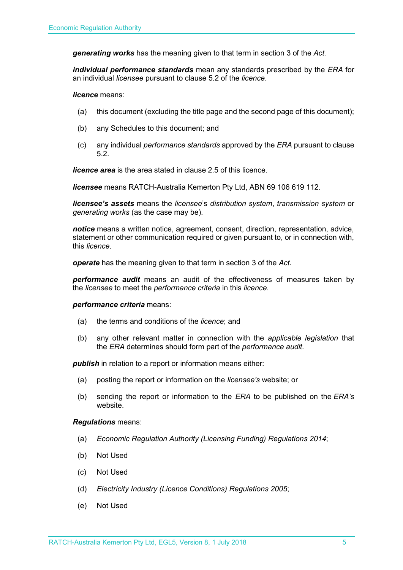*generating works* has the meaning given to that term in section 3 of the *Act.*

*individual performance standards* mean any standards prescribed by the *ERA* for an individual *licensee* pursuant to clause 5.2 of the *licence*.

*licence* means:

- (a) this document (excluding the title page and the second page of this document);
- (b) any Schedules to this document; and
- (c) any individual *performance standards* approved by the *ERA* pursuant to clause 5.2.

*licence area* is the area stated in clause 2.5 of this licence.

*licensee* means RATCH-Australia Kemerton Pty Ltd, ABN 69 106 619 112.

*licensee's assets* means the *licensee*'s *distribution system*, *transmission system* or *generating works* (as the case may be).

*notice* means a written notice, agreement, consent, direction, representation, advice, statement or other communication required or given pursuant to, or in connection with, this *licence*.

*operate* has the meaning given to that term in section 3 of the *Act*.

*performance audit* means an audit of the effectiveness of measures taken by the *licensee* to meet the *performance criteria* in this *licence*.

#### *performance criteria* means:

- (a) the terms and conditions of the *licence*; and
- (b) any other relevant matter in connection with the *applicable legislation* that the *ERA* determines should form part of the *performance audit*.

**publish** in relation to a report or information means either:

- (a) posting the report or information on the *licensee's* website; or
- (b) sending the report or information to the *ERA* to be published on the *ERA's* website.

#### *Regulations* means:

- (a) *Economic Regulation Authority (Licensing Funding) Regulations 2014*;
- (b) Not Used
- (c) Not Used
- (d) *Electricity Industry (Licence Conditions) Regulations 2005*;
- (e) Not Used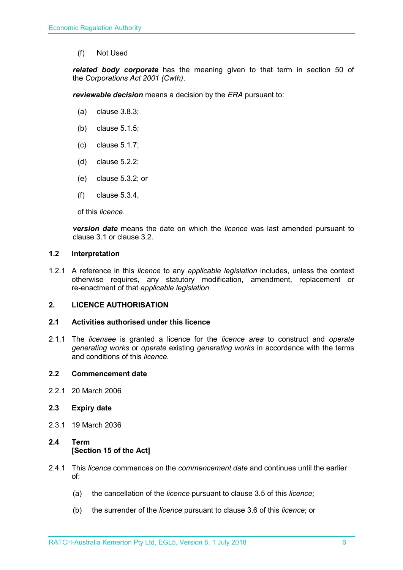(f) Not Used

*related body corporate* has the meaning given to that term in section 50 of the *Corporations Act 2001 (Cwth)*.

*reviewable decision* means a decision by the *ERA* pursuant to:

- (a) clause 3.8.3;
- (b) clause 5.1.5;
- (c) clause 5.1.7;
- (d) clause 5.2.2;
- (e) clause 5.3.2; or
- (f) clause 5.3.4,

of this *licence*.

*version date* means the date on which the *licence* was last amended pursuant to clause 3.1 or clause 3.2.

#### <span id="page-5-0"></span>**1.2 Interpretation**

1.2.1 A reference in this *licence* to any *applicable legislation* includes, unless the context otherwise requires, any statutory modification, amendment, replacement or re-enactment of that *applicable legislation*.

#### <span id="page-5-1"></span>**2. LICENCE AUTHORISATION**

#### <span id="page-5-2"></span>**2.1 Activities authorised under this licence**

2.1.1 The *licensee* is granted a licence for the *licence area* to construct and *operate generating works* or *operate* existing *generating works* in accordance with the terms and conditions of this *licence*.

#### <span id="page-5-3"></span>**2.2 Commencement date**

2.2.1 20 March 2006

#### <span id="page-5-4"></span>**2.3 Expiry date**

2.3.1 19 March 2036

### <span id="page-5-5"></span>**2.4 Term [Section 15 of the Act]**

- 2.4.1 This *licence* commences on the *commencement date* and continues until the earlier of:
	- (a) the cancellation of the *licence* pursuant to clause 3.5 of this *licence*;
	- (b) the surrender of the *licence* pursuant to clause 3.6 of this *licence*; or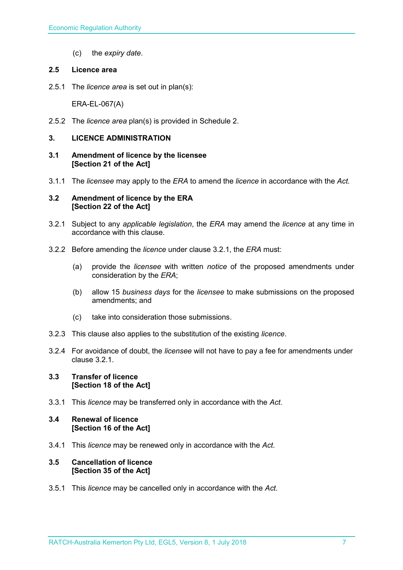(c) the *expiry date*.

#### <span id="page-6-0"></span>**2.5 Licence area**

2.5.1 The *licence area* is set out in plan(s):

ERA-EL-067(A)

2.5.2 The *licence area* plan(s) is provided in Schedule 2.

#### <span id="page-6-1"></span>**3. LICENCE ADMINISTRATION**

- <span id="page-6-2"></span>**3.1 Amendment of licence by the licensee [Section 21 of the Act]**
- 3.1.1 The *licensee* may apply to the *ERA* to amend the *licence* in accordance with the *Act.*

#### <span id="page-6-3"></span>**3.2 Amendment of licence by the ERA [Section 22 of the Act]**

- 3.2.1 Subject to any *applicable legislation*, the *ERA* may amend the *licence* at any time in accordance with this clause.
- 3.2.2 Before amending the *licence* under clause 3.2.1, the *ERA* must:
	- (a) provide the *licensee* with written *notice* of the proposed amendments under consideration by the *ERA*;
	- (b) allow 15 *business days* for the *licensee* to make submissions on the proposed amendments; and
	- (c) take into consideration those submissions.
- 3.2.3 This clause also applies to the substitution of the existing *licence*.
- 3.2.4 For avoidance of doubt, the *licensee* will not have to pay a fee for amendments under clause 3.2.1.

#### <span id="page-6-4"></span>**3.3 Transfer of licence [Section 18 of the Act]**

3.3.1 This *licence* may be transferred only in accordance with the *Act.*

#### <span id="page-6-5"></span>**3.4 Renewal of licence [Section 16 of the Act]**

3.4.1 This *licence* may be renewed only in accordance with the *Act*.

#### <span id="page-6-6"></span>**3.5 Cancellation of licence [Section 35 of the Act]**

3.5.1 This *licence* may be cancelled only in accordance with the *Act*.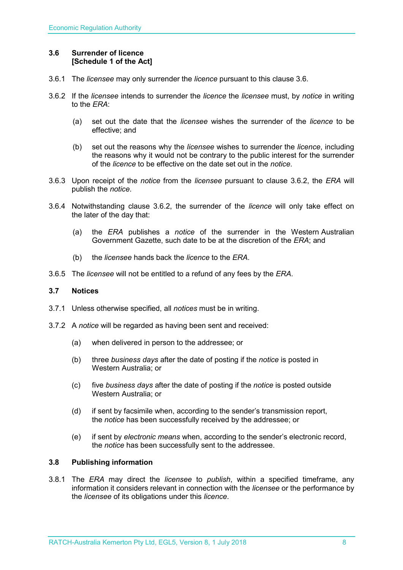#### <span id="page-7-0"></span>**3.6 Surrender of licence [Schedule 1 of the Act]**

- 3.6.1 The *licensee* may only surrender the *licence* pursuant to this clause 3.6.
- 3.6.2 If the *licensee* intends to surrender the *licence* the *licensee* must, by *notice* in writing to the *ERA*:
	- (a) set out the date that the *licensee* wishes the surrender of the *licence* to be effective; and
	- (b) set out the reasons why the *licensee* wishes to surrender the *licence*, including the reasons why it would not be contrary to the public interest for the surrender of the *licence* to be effective on the date set out in the *notice*.
- 3.6.3 Upon receipt of the *notice* from the *licensee* pursuant to clause 3.6.2, the *ERA* will publish the *notice*.
- 3.6.4 Notwithstanding clause 3.6.2, the surrender of the *licence* will only take effect on the later of the day that:
	- (a) the *ERA* publishes a *notice* of the surrender in the Western Australian Government Gazette, such date to be at the discretion of the *ERA*; and
	- (b) the *licensee* hands back the *licence* to the *ERA*.
- 3.6.5 The *licensee* will not be entitled to a refund of any fees by the *ERA*.

#### <span id="page-7-1"></span>**3.7 Notices**

- 3.7.1 Unless otherwise specified, all *notices* must be in writing.
- 3.7.2 A *notice* will be regarded as having been sent and received:
	- (a) when delivered in person to the addressee; or
	- (b) three *business days* after the date of posting if the *notice* is posted in Western Australia; or
	- (c) five *business days* after the date of posting if the *notice* is posted outside Western Australia; or
	- (d) if sent by facsimile when, according to the sender's transmission report, the *notice* has been successfully received by the addressee; or
	- (e) if sent by *electronic means* when, according to the sender's electronic record, the *notice* has been successfully sent to the addressee.

#### <span id="page-7-2"></span>**3.8 Publishing information**

3.8.1 The *ERA* may direct the *licensee* to *publish*, within a specified timeframe, any information it considers relevant in connection with the *licensee* or the performance by the *licensee* of its obligations under this *licence*.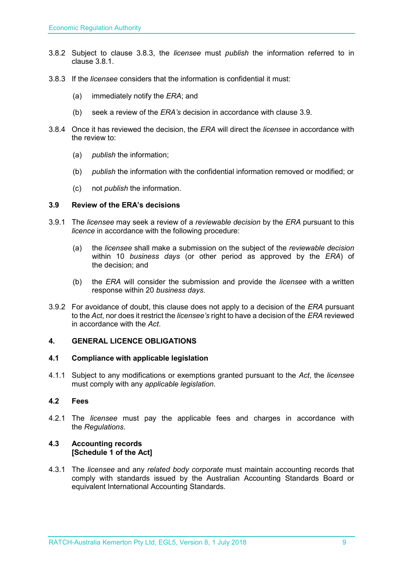- 3.8.2 Subject to clause 3.8.3, the *licensee* must *publish* the information referred to in clause 3.8.1.
- 3.8.3 If the *licensee* considers that the information is confidential it must:
	- (a) immediately notify the *ERA*; and
	- (b) seek a review of the *ERA's* decision in accordance with clause 3.9.
- 3.8.4 Once it has reviewed the decision, the *ERA* will direct the *licensee* in accordance with the review to:
	- (a) *publish* the information;
	- (b) *publish* the information with the confidential information removed or modified; or
	- (c) not *publish* the information.

#### <span id="page-8-0"></span>**3.9 Review of the ERA's decisions**

- 3.9.1 The *licensee* may seek a review of a *reviewable decision* by the *ERA* pursuant to this *licence* in accordance with the following procedure:
	- (a) the *licensee* shall make a submission on the subject of the *reviewable decision* within 10 *business days* (or other period as approved by the *ERA*) of the decision; and
	- (b) the *ERA* will consider the submission and provide the *licensee* with a written response within 20 *business days*.
- 3.9.2 For avoidance of doubt, this clause does not apply to a decision of the *ERA* pursuant to the *Act*, nor does it restrict the *licensee's* right to have a decision of the *ERA* reviewed in accordance with the *Act*.

#### <span id="page-8-1"></span>**4. GENERAL LICENCE OBLIGATIONS**

#### <span id="page-8-2"></span>**4.1 Compliance with applicable legislation**

4.1.1 Subject to any modifications or exemptions granted pursuant to the *Act*, the *licensee* must comply with any *applicable legislation*.

#### <span id="page-8-3"></span>**4.2 Fees**

4.2.1 The *licensee* must pay the applicable fees and charges in accordance with the *Regulations*.

#### <span id="page-8-4"></span>**4.3 Accounting records [Schedule 1 of the Act]**

4.3.1 The *licensee* and any *related body corporate* must maintain accounting records that comply with standards issued by the Australian Accounting Standards Board or equivalent International Accounting Standards.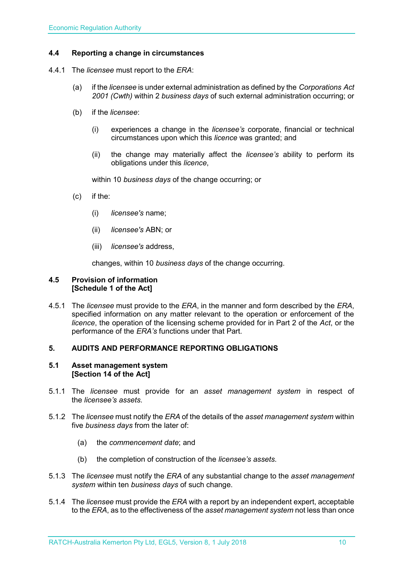#### <span id="page-9-0"></span>**4.4 Reporting a change in circumstances**

- 4.4.1 The *licensee* must report to the *ERA*:
	- (a) if the *licensee* is under external administration as defined by the *Corporations Act 2001 (Cwth)* within 2 *business days* of such external administration occurring; or
	- (b) if the *licensee*:
		- (i) experiences a change in the *licensee's* corporate, financial or technical circumstances upon which this *licence* was granted; and
		- (ii) the change may materially affect the *licensee's* ability to perform its obligations under this *licence*,

within 10 *business days* of the change occurring; or

- (c) if the:
	- (i) *licensee's* name;
	- (ii) *licensee's* ABN; or
	- (iii) *licensee's* address,

changes, within 10 *business days* of the change occurring.

#### <span id="page-9-1"></span>**4.5 Provision of information [Schedule 1 of the Act]**

4.5.1 The *licensee* must provide to the *ERA*, in the manner and form described by the *ERA*, specified information on any matter relevant to the operation or enforcement of the *licence*, the operation of the licensing scheme provided for in Part 2 of the *Act*, or the performance of the *ERA's* functions under that Part.

#### <span id="page-9-2"></span>**5. AUDITS AND PERFORMANCE REPORTING OBLIGATIONS**

#### <span id="page-9-3"></span>**5.1 Asset management system [Section 14 of the Act]**

- 5.1.1 The *licensee* must provide for an *asset management system* in respect of the *licensee's assets*.
- 5.1.2 The *licensee* must notify the *ERA* of the details of the *asset management system* within five *business days* from the later of:
	- (a) the *commencement date*; and
	- (b) the completion of construction of the *licensee's assets*.
- 5.1.3 The *licensee* must notify the *ERA* of any substantial change to the *asset management system* within ten *business days* of such change.
- 5.1.4 The *licensee* must provide the *ERA* with a report by an independent expert, acceptable to the *ERA*, as to the effectiveness of the *asset management system* not less than once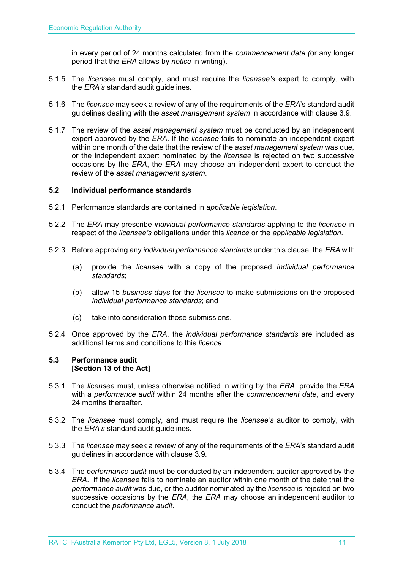in every period of 24 months calculated from the *commencement date (*or any longer period that the *ERA* allows by *notice* in writing).

- 5.1.5 The *licensee* must comply, and must require the *licensee's* expert to comply, with the *ERA's* standard audit guidelines.
- 5.1.6 The *licensee* may seek a review of any of the requirements of the *ERA*'s standard audit guidelines dealing with the *asset management system* in accordance with clause 3.9.
- 5.1.7 The review of the *asset management system* must be conducted by an independent expert approved by the *ERA*. If the *licensee* fails to nominate an independent expert within one month of the date that the review of the *asset management system* was due, or the independent expert nominated by the *licensee* is rejected on two successive occasions by the *ERA*, the *ERA* may choose an independent expert to conduct the review of the *asset management system*.

#### <span id="page-10-0"></span>**5.2 Individual performance standards**

- 5.2.1 Performance standards are contained in *applicable legislation*.
- 5.2.2 The *ERA* may prescribe *individual performance standards* applying to the *licensee* in respect of the *licensee's* obligations under this *licence* or the *applicable legislation*.
- 5.2.3 Before approving any *individual performance standards* under this clause, the *ERA* will:
	- (a) provide the *licensee* with a copy of the proposed *individual performance standards*;
	- (b) allow 15 *business days* for the *licensee* to make submissions on the proposed *individual performance standards*; and
	- (c) take into consideration those submissions.
- 5.2.4 Once approved by the *ERA*, the *individual performance standards* are included as additional terms and conditions to this *licence*.

#### <span id="page-10-1"></span>**5.3 Performance audit [Section 13 of the Act]**

- 5.3.1 The *licensee* must, unless otherwise notified in writing by the *ERA*, provide the *ERA* with a *performance audit* within 24 months after the *commencement date*, and every 24 months thereafter.
- 5.3.2 The *licensee* must comply, and must require the *licensee's* auditor to comply, with the *ERA's* standard audit guidelines.
- 5.3.3 The *licensee* may seek a review of any of the requirements of the *ERA*'s standard audit guidelines in accordance with clause 3.9.
- 5.3.4 The *performance audit* must be conducted by an independent auditor approved by the *ERA*. If the *licensee* fails to nominate an auditor within one month of the date that the *performance audit* was due, or the auditor nominated by the *licensee* is rejected on two successive occasions by the *ERA*, the *ERA* may choose an independent auditor to conduct the *performance audit*.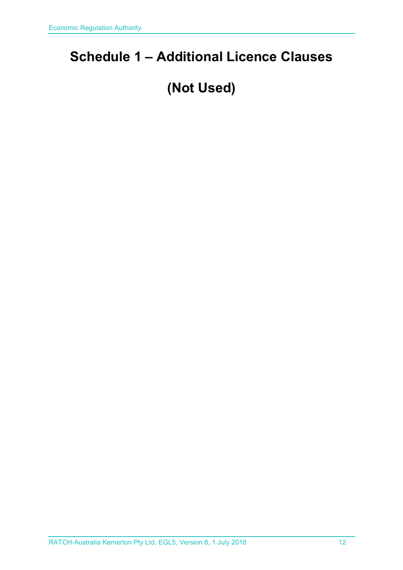# <span id="page-11-0"></span>**Schedule 1 – Additional Licence Clauses**

# **(Not Used)**

RATCH-Australia Kemerton Pty Ltd, EGL5, Version 8, 1 July 2018 12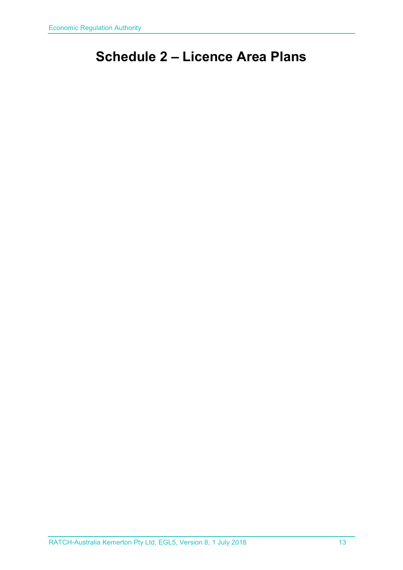# <span id="page-12-0"></span>**Schedule 2 – Licence Area Plans**